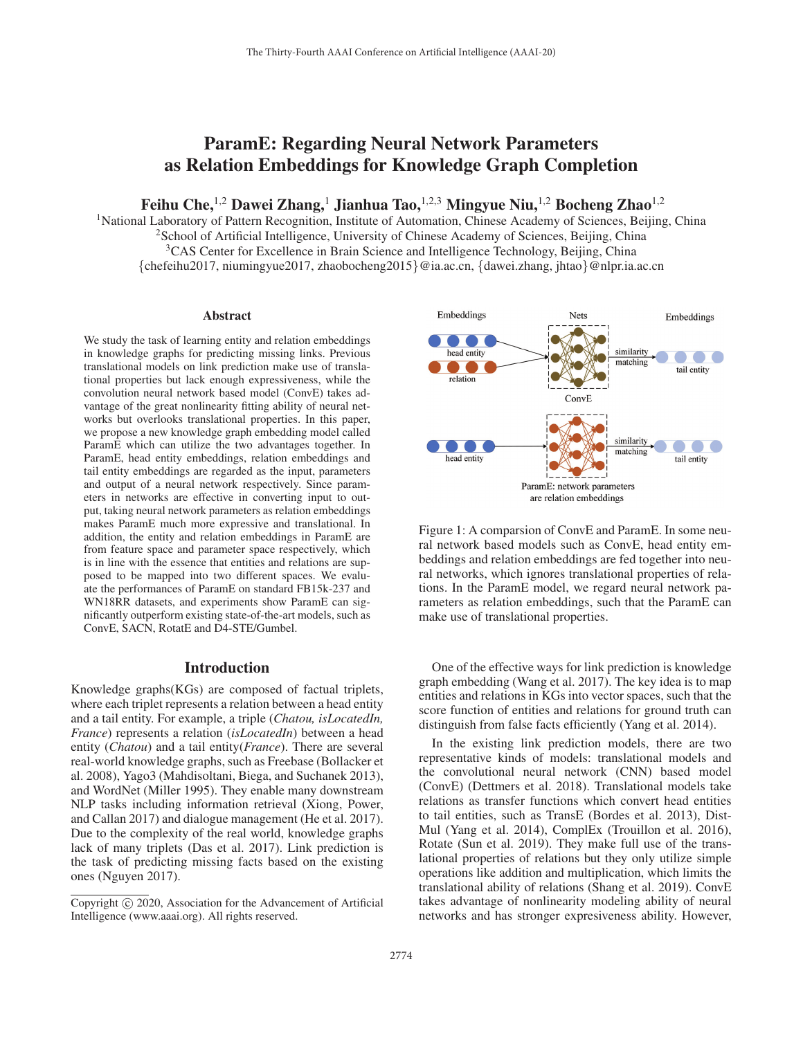# ParamE: Regarding Neural Network Parameters as Relation Embeddings for Knowledge Graph Completion

Feihu Che,<sup>1,2</sup> Dawei Zhang,<sup>1</sup> Jianhua Tao,<sup>1,2,3</sup> Mingyue Niu,<sup>1,2</sup> Bocheng Zhao<sup>1,2</sup>

<sup>1</sup>National Laboratory of Pattern Recognition, Institute of Automation, Chinese Academy of Sciences, Beijing, China <sup>2</sup>School of Artificial Intelligence, University of Chinese Academy of Sciences, Beijing, China <sup>3</sup>CAS Center for Excellence in Brain Science and Intelligence Technology, Beijing, China {chefeihu2017, niumingyue2017, zhaobocheng2015}@ia.ac.cn, {dawei.zhang, jhtao}@nlpr.ia.ac.cn

#### Abstract

We study the task of learning entity and relation embeddings in knowledge graphs for predicting missing links. Previous translational models on link prediction make use of translational properties but lack enough expressiveness, while the convolution neural network based model (ConvE) takes advantage of the great nonlinearity fitting ability of neural networks but overlooks translational properties. In this paper, we propose a new knowledge graph embedding model called ParamE which can utilize the two advantages together. In ParamE, head entity embeddings, relation embeddings and tail entity embeddings are regarded as the input, parameters and output of a neural network respectively. Since parameters in networks are effective in converting input to output, taking neural network parameters as relation embeddings makes ParamE much more expressive and translational. In addition, the entity and relation embeddings in ParamE are from feature space and parameter space respectively, which is in line with the essence that entities and relations are supposed to be mapped into two different spaces. We evaluate the performances of ParamE on standard FB15k-237 and WN18RR datasets, and experiments show ParamE can significantly outperform existing state-of-the-art models, such as ConvE, SACN, RotatE and D4-STE/Gumbel.

## Introduction

Knowledge graphs(KGs) are composed of factual triplets, where each triplet represents a relation between a head entity and a tail entity. For example, a triple (*Chatou, isLocatedIn, France*) represents a relation (*isLocatedIn*) between a head entity (*Chatou*) and a tail entity(*France*). There are several real-world knowledge graphs, such as Freebase (Bollacker et al. 2008), Yago3 (Mahdisoltani, Biega, and Suchanek 2013), and WordNet (Miller 1995). They enable many downstream NLP tasks including information retrieval (Xiong, Power, and Callan 2017) and dialogue management (He et al. 2017). Due to the complexity of the real world, knowledge graphs lack of many triplets (Das et al. 2017). Link prediction is the task of predicting missing facts based on the existing ones (Nguyen 2017).





Figure 1: A comparsion of ConvE and ParamE. In some neural network based models such as ConvE, head entity embeddings and relation embeddings are fed together into neural networks, which ignores translational properties of relations. In the ParamE model, we regard neural network parameters as relation embeddings, such that the ParamE can make use of translational properties.

One of the effective ways for link prediction is knowledge graph embedding (Wang et al. 2017). The key idea is to map entities and relations in KGs into vector spaces, such that the score function of entities and relations for ground truth can distinguish from false facts efficiently (Yang et al. 2014).

In the existing link prediction models, there are two representative kinds of models: translational models and the convolutional neural network (CNN) based model (ConvE) (Dettmers et al. 2018). Translational models take relations as transfer functions which convert head entities to tail entities, such as TransE (Bordes et al. 2013), Dist-Mul (Yang et al. 2014), ComplEx (Trouillon et al. 2016), Rotate (Sun et al. 2019). They make full use of the translational properties of relations but they only utilize simple operations like addition and multiplication, which limits the translational ability of relations (Shang et al. 2019). ConvE takes advantage of nonlinearity modeling ability of neural networks and has stronger expresiveness ability. However,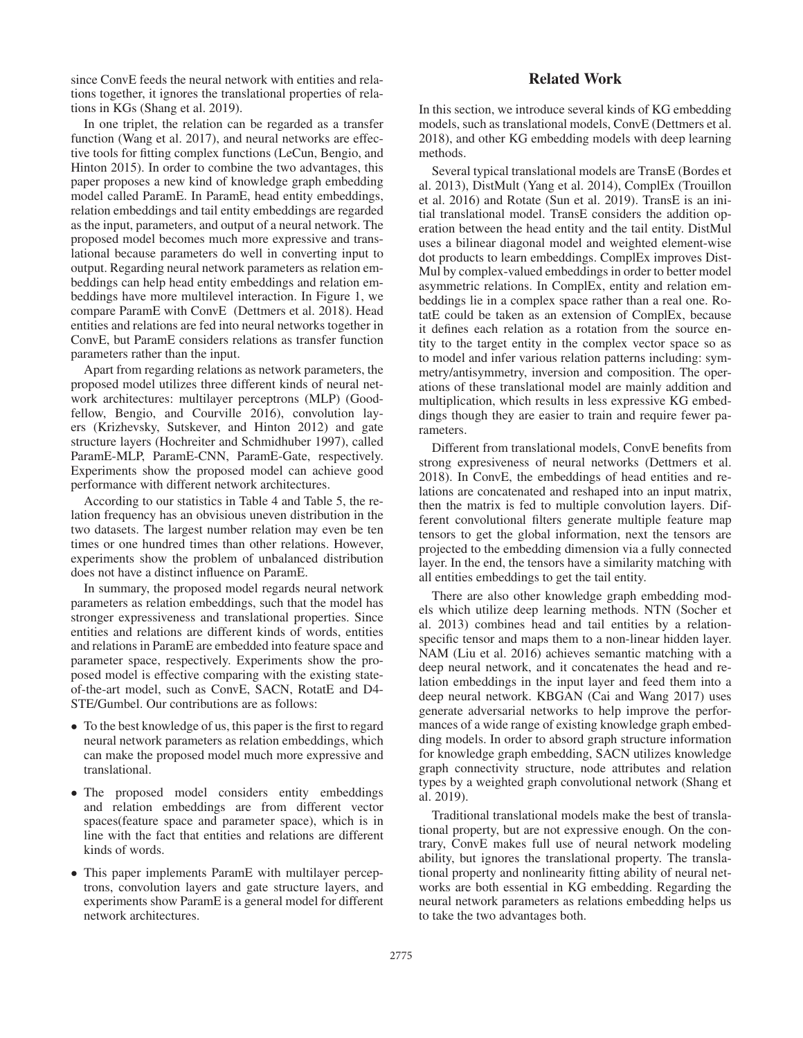since ConvE feeds the neural network with entities and relations together, it ignores the translational properties of relations in KGs (Shang et al. 2019).

In one triplet, the relation can be regarded as a transfer function (Wang et al. 2017), and neural networks are effective tools for fitting complex functions (LeCun, Bengio, and Hinton 2015). In order to combine the two advantages, this paper proposes a new kind of knowledge graph embedding model called ParamE. In ParamE, head entity embeddings, relation embeddings and tail entity embeddings are regarded as the input, parameters, and output of a neural network. The proposed model becomes much more expressive and translational because parameters do well in converting input to output. Regarding neural network parameters as relation embeddings can help head entity embeddings and relation embeddings have more multilevel interaction. In Figure 1, we compare ParamE with ConvE (Dettmers et al. 2018). Head entities and relations are fed into neural networks together in ConvE, but ParamE considers relations as transfer function parameters rather than the input.

Apart from regarding relations as network parameters, the proposed model utilizes three different kinds of neural network architectures: multilayer perceptrons (MLP) (Goodfellow, Bengio, and Courville 2016), convolution layers (Krizhevsky, Sutskever, and Hinton 2012) and gate structure layers (Hochreiter and Schmidhuber 1997), called ParamE-MLP, ParamE-CNN, ParamE-Gate, respectively. Experiments show the proposed model can achieve good performance with different network architectures.

According to our statistics in Table 4 and Table 5, the relation frequency has an obvisious uneven distribution in the two datasets. The largest number relation may even be ten times or one hundred times than other relations. However, experiments show the problem of unbalanced distribution does not have a distinct influence on ParamE.

In summary, the proposed model regards neural network parameters as relation embeddings, such that the model has stronger expressiveness and translational properties. Since entities and relations are different kinds of words, entities and relations in ParamE are embedded into feature space and parameter space, respectively. Experiments show the proposed model is effective comparing with the existing stateof-the-art model, such as ConvE, SACN, RotatE and D4- STE/Gumbel. Our contributions are as follows:

- To the best knowledge of us, this paper is the first to regard neural network parameters as relation embeddings, which can make the proposed model much more expressive and translational.
- The proposed model considers entity embeddings and relation embeddings are from different vector spaces(feature space and parameter space), which is in line with the fact that entities and relations are different kinds of words.
- This paper implements ParamE with multilayer perceptrons, convolution layers and gate structure layers, and experiments show ParamE is a general model for different network architectures.

# Related Work

In this section, we introduce several kinds of KG embedding models, such as translational models, ConvE (Dettmers et al. 2018), and other KG embedding models with deep learning methods.

Several typical translational models are TransE (Bordes et al. 2013), DistMult (Yang et al. 2014), ComplEx (Trouillon et al. 2016) and Rotate (Sun et al. 2019). TransE is an initial translational model. TransE considers the addition operation between the head entity and the tail entity. DistMul uses a bilinear diagonal model and weighted element-wise dot products to learn embeddings. ComplEx improves Dist-Mul by complex-valued embeddings in order to better model asymmetric relations. In ComplEx, entity and relation embeddings lie in a complex space rather than a real one. RotatE could be taken as an extension of ComplEx, because it defines each relation as a rotation from the source entity to the target entity in the complex vector space so as to model and infer various relation patterns including: symmetry/antisymmetry, inversion and composition. The operations of these translational model are mainly addition and multiplication, which results in less expressive KG embeddings though they are easier to train and require fewer parameters.

Different from translational models, ConvE benefits from strong expresiveness of neural networks (Dettmers et al. 2018). In ConvE, the embeddings of head entities and relations are concatenated and reshaped into an input matrix, then the matrix is fed to multiple convolution layers. Different convolutional filters generate multiple feature map tensors to get the global information, next the tensors are projected to the embedding dimension via a fully connected layer. In the end, the tensors have a similarity matching with all entities embeddings to get the tail entity.

There are also other knowledge graph embedding models which utilize deep learning methods. NTN (Socher et al. 2013) combines head and tail entities by a relationspecific tensor and maps them to a non-linear hidden layer. NAM (Liu et al. 2016) achieves semantic matching with a deep neural network, and it concatenates the head and relation embeddings in the input layer and feed them into a deep neural network. KBGAN (Cai and Wang 2017) uses generate adversarial networks to help improve the performances of a wide range of existing knowledge graph embedding models. In order to absord graph structure information for knowledge graph embedding, SACN utilizes knowledge graph connectivity structure, node attributes and relation types by a weighted graph convolutional network (Shang et al. 2019).

Traditional translational models make the best of translational property, but are not expressive enough. On the contrary, ConvE makes full use of neural network modeling ability, but ignores the translational property. The translational property and nonlinearity fitting ability of neural networks are both essential in KG embedding. Regarding the neural network parameters as relations embedding helps us to take the two advantages both.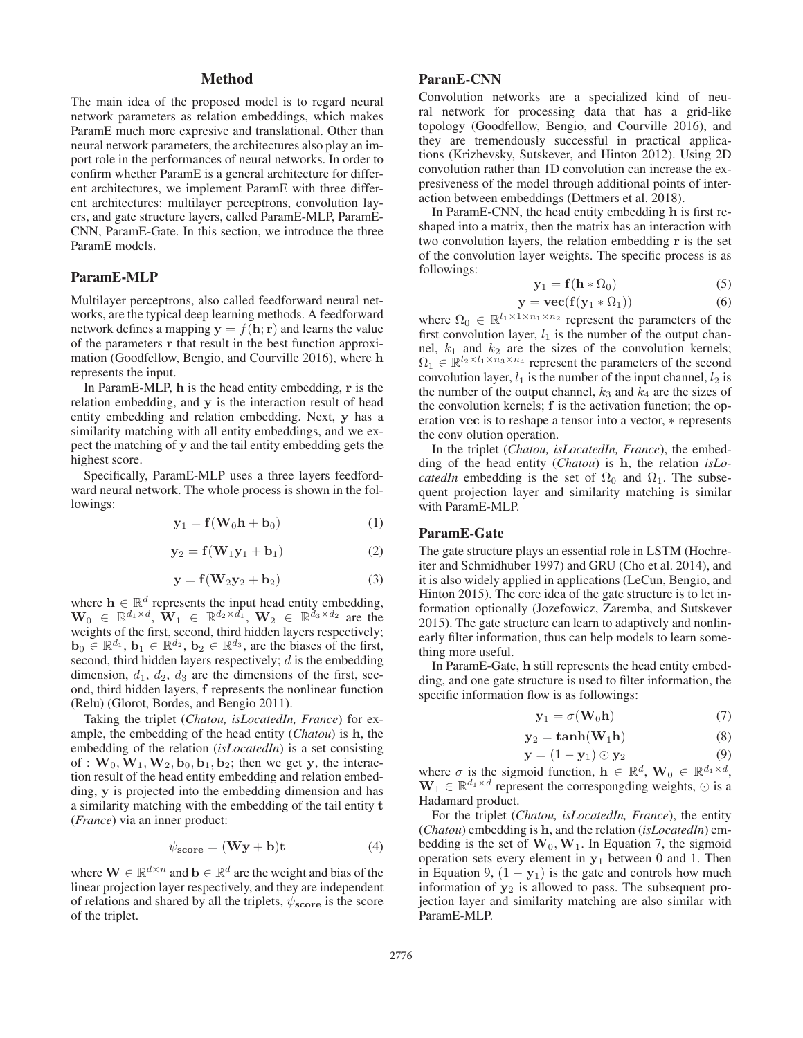# Method

The main idea of the proposed model is to regard neural network parameters as relation embeddings, which makes ParamE much more expresive and translational. Other than neural network parameters, the architectures also play an import role in the performances of neural networks. In order to confirm whether ParamE is a general architecture for different architectures, we implement ParamE with three different architectures: multilayer perceptrons, convolution layers, and gate structure layers, called ParamE-MLP, ParamE-CNN, ParamE-Gate. In this section, we introduce the three ParamE models.

# ParamE-MLP

Multilayer perceptrons, also called feedforward neural networks, are the typical deep learning methods. A feedforward network defines a mapping  $y = f(h; r)$  and learns the value of the parameters **r** that result in the best function approximation (Goodfellow, Bengio, and Courville 2016), where **h** represents the input.

In ParamE-MLP, **h** is the head entity embedding, **r** is the relation embedding, and **y** is the interaction result of head entity embedding and relation embedding. Next, **y** has a similarity matching with all entity embeddings, and we expect the matching of **y** and the tail entity embedding gets the highest score.

Specifically, ParamE-MLP uses a three layers feedfordward neural network. The whole process is shown in the followings:

$$
\mathbf{y}_1 = \mathbf{f}(\mathbf{W}_0 \mathbf{h} + \mathbf{b}_0) \tag{1}
$$

$$
\mathbf{y}_2 = \mathbf{f}(\mathbf{W}_1 \mathbf{y}_1 + \mathbf{b}_1) \tag{2}
$$

$$
y = f(W_2y_2 + b_2)
$$
 (3)

where  $\mathbf{h} \in \mathbb{R}^d$  represents the input head entity embedding,  $\mathbf{W}_0 \in \mathbb{R}^{d_1 \times d}$ ,  $\mathbf{W}_1 \in \mathbb{R}^{d_2 \times d_1}$ ,  $\mathbf{W}_2 \in \mathbb{R}^{d_3 \times d_2}$  are the weights of the first, second, third hidden layers respectively;  $\mathbf{b}_0 \in \mathbb{R}^{d_1}$ ,  $\mathbf{b}_1 \in \mathbb{R}^{d_2}$ ,  $\mathbf{b}_2 \in \mathbb{R}^{d_3}$ , are the biases of the first, second, third hidden layers respectively;  $d$  is the embedding dimension,  $d_1$ ,  $d_2$ ,  $d_3$  are the dimensions of the first, second, third hidden layers, **f** represents the nonlinear function (Relu) (Glorot, Bordes, and Bengio 2011).

Taking the triplet (*Chatou, isLocatedIn, France*) for example, the embedding of the head entity (*Chatou*) is **h**, the embedding of the relation (*isLocatedIn*) is a set consisting of :  $W_0$ ,  $W_1$ ,  $W_2$ ,  $b_0$ ,  $b_1$ ,  $b_2$ ; then we get **y**, the interaction result of the head entity embedding and relation embedding, **y** is projected into the embedding dimension and has a similarity matching with the embedding of the tail entity **t** (*France*) via an inner product:

$$
\psi_{\text{score}} = (\mathbf{W}\mathbf{y} + \mathbf{b})\mathbf{t} \tag{4}
$$

where  $\mathbf{W} \in \mathbb{R}^{d \times n}$  and  $\mathbf{b} \in \mathbb{R}^d$  are the weight and bias of the linear projection layer respectively, and they are independent of relations and shared by all the triplets, ψ**score** is the score of the triplet.

#### ParanE-CNN

Convolution networks are a specialized kind of neural network for processing data that has a grid-like topology (Goodfellow, Bengio, and Courville 2016), and they are tremendously successful in practical applications (Krizhevsky, Sutskever, and Hinton 2012). Using 2D convolution rather than 1D convolution can increase the expresiveness of the model through additional points of interaction between embeddings (Dettmers et al. 2018).

In ParamE-CNN, the head entity embedding **h** is first reshaped into a matrix, then the matrix has an interaction with two convolution layers, the relation embedding **r** is the set of the convolution layer weights. The specific process is as followings:

$$
y_1 = f(h * \Omega_0) \tag{5}
$$

$$
y = \text{vec}(f(y_1 * \Omega_1))
$$
 (6)

where  $\Omega_0 \in \mathbb{R}^{l_1 \times 1 \times n_1 \times n_2}$  represent the parameters of the first convolution layer,  $l_1$  is the number of the output channel,  $k_1$  and  $k_2$  are the sizes of the convolution kernels;  $\Omega_1 \in \mathbb{R}^{l_2 \times l_1 \times n_3 \times n_4}$  represent the parameters of the second convolution layer,  $l_1$  is the number of the input channel,  $l_2$  is the number of the output channel,  $k_3$  and  $k_4$  are the sizes of the convolution kernels; **f** is the activation function; the operation **vec** is to reshape a tensor into a vector, ∗ represents the conv olution operation.

In the triplet (*Chatou, isLocatedIn, France*), the embedding of the head entity (*Chatou*) is **h**, the relation *isLocatedIn* embedding is the set of  $\Omega_0$  and  $\Omega_1$ . The subsequent projection layer and similarity matching is similar with ParamE-MLP.

### ParamE-Gate

The gate structure plays an essential role in LSTM (Hochreiter and Schmidhuber 1997) and GRU (Cho et al. 2014), and it is also widely applied in applications (LeCun, Bengio, and Hinton 2015). The core idea of the gate structure is to let information optionally (Jozefowicz, Zaremba, and Sutskever 2015). The gate structure can learn to adaptively and nonlinearly filter information, thus can help models to learn something more useful.

In ParamE-Gate, **h** still represents the head entity embedding, and one gate structure is used to filter information, the specific information flow is as followings:

$$
\mathbf{y}_1 = \sigma(\mathbf{W}_0 \mathbf{h}) \tag{7}
$$

$$
y_2 = \tanh(W_1 h) \tag{8}
$$

$$
\mathbf{y} = (1 - \mathbf{y}_1) \odot \mathbf{y}_2 \tag{9}
$$

where  $\sigma$  is the sigmoid function,  $\mathbf{h} \in \mathbb{R}^d$ ,  $\mathbf{W}_0 \in \mathbb{R}^{d_1 \times d}$ ,  $\mathbf{W}_1 \in \mathbb{R}^{d_1 \times d}$  represent the correspongding weights,  $\odot$  is a Hadamard product.

For the triplet (*Chatou, isLocatedIn, France*), the entity (*Chatou*) embedding is **h**, and the relation (*isLocatedIn*) embedding is the set of  $W_0$ ,  $W_1$ . In Equation 7, the sigmoid operation sets every element in **y**<sup>1</sup> between 0 and 1. Then in Equation 9,  $(1 - y_1)$  is the gate and controls how much information of  $y_2$  is allowed to pass. The subsequent projection layer and similarity matching are also similar with ParamE-MLP.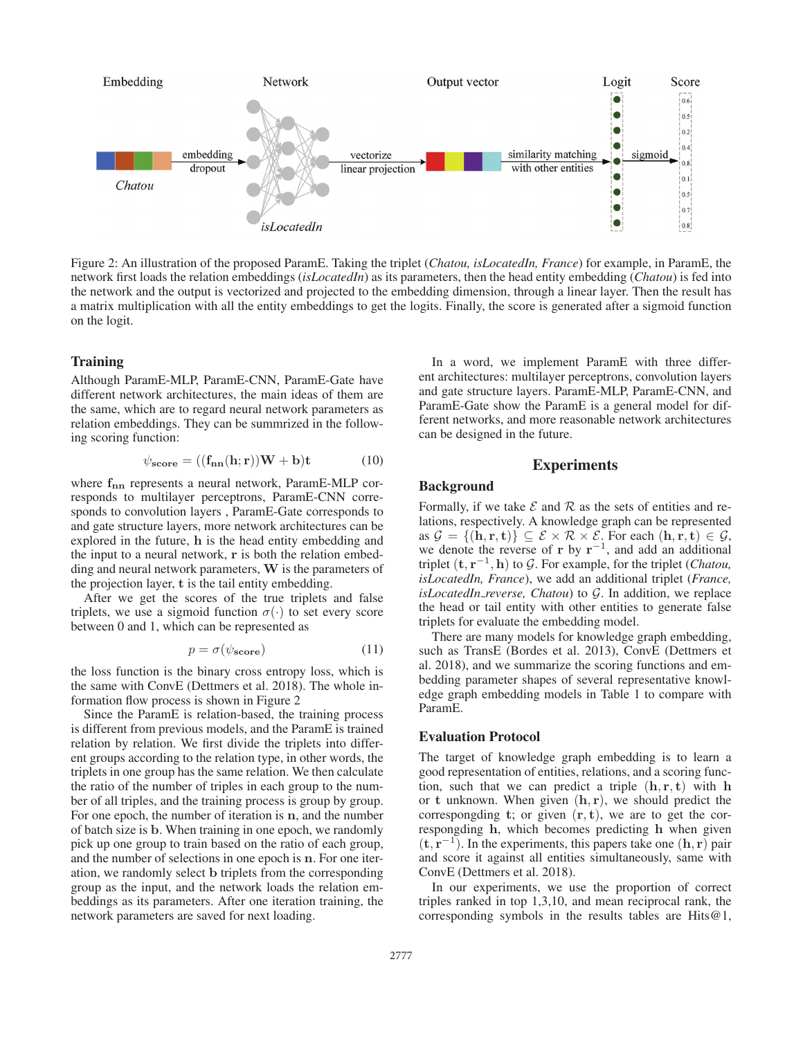

Figure 2: An illustration of the proposed ParamE. Taking the triplet (*Chatou, isLocatedIn, France*) for example, in ParamE, the network first loads the relation embeddings (*isLocatedIn*) as its parameters, then the head entity embedding (*Chatou*) is fed into the network and the output is vectorized and projected to the embedding dimension, through a linear layer. Then the result has a matrix multiplication with all the entity embeddings to get the logits. Finally, the score is generated after a sigmoid function on the logit.

#### **Training**

Although ParamE-MLP, ParamE-CNN, ParamE-Gate have different network architectures, the main ideas of them are the same, which are to regard neural network parameters as relation embeddings. They can be summrized in the following scoring function:

$$
\psi_{\text{score}} = ((\mathbf{f}_{\text{nn}}(\mathbf{h}; \mathbf{r}))\mathbf{W} + \mathbf{b})\mathbf{t}
$$
 (10)

where **fnn** represents a neural network, ParamE-MLP corresponds to multilayer perceptrons, ParamE-CNN corresponds to convolution layers , ParamE-Gate corresponds to and gate structure layers, more network architectures can be explored in the future, **h** is the head entity embedding and the input to a neural network, **r** is both the relation embedding and neural network parameters, **W** is the parameters of the projection layer, **t** is the tail entity embedding.

After we get the scores of the true triplets and false triplets, we use a sigmoid function  $\sigma(\cdot)$  to set every score between 0 and 1, which can be represented as

$$
p = \sigma(\psi_{\text{score}}) \tag{11}
$$

the loss function is the binary cross entropy loss, which is the same with ConvE (Dettmers et al. 2018). The whole information flow process is shown in Figure 2

Since the ParamE is relation-based, the training process is different from previous models, and the ParamE is trained relation by relation. We first divide the triplets into different groups according to the relation type, in other words, the triplets in one group has the same relation. We then calculate the ratio of the number of triples in each group to the number of all triples, and the training process is group by group. For one epoch, the number of iteration is **n**, and the number of batch size is **b**. When training in one epoch, we randomly pick up one group to train based on the ratio of each group, and the number of selections in one epoch is **n**. For one iteration, we randomly select **b** triplets from the corresponding group as the input, and the network loads the relation embeddings as its parameters. After one iteration training, the network parameters are saved for next loading.

In a word, we implement ParamE with three different architectures: multilayer perceptrons, convolution layers and gate structure layers. ParamE-MLP, ParamE-CNN, and ParamE-Gate show the ParamE is a general model for different networks, and more reasonable network architectures can be designed in the future.

## **Experiments**

## Background

Formally, if we take  $\mathcal E$  and  $\mathcal R$  as the sets of entities and relations, respectively. A knowledge graph can be represented as  $\mathcal{G} = \{(\mathbf{h}, \mathbf{r}, \mathbf{t})\} \subseteq \mathcal{E} \times \mathcal{R} \times \mathcal{E}$ . For each  $(\mathbf{h}, \mathbf{r}, \mathbf{t}) \in \mathcal{G}$ , we denote the reverse of **r** by **r**−<sup>1</sup>, and add an additional triplet  $(t, r^{-1}, h)$  to G. For example, for the triplet (*Chatou*, *isLocatedIn, France*), we add an additional triplet (*France, isLocatedIn reverse, Chatou*) to G. In addition, we replace the head or tail entity with other entities to generate false triplets for evaluate the embedding model.

There are many models for knowledge graph embedding, such as TransE (Bordes et al. 2013), ConvE (Dettmers et al. 2018), and we summarize the scoring functions and embedding parameter shapes of several representative knowledge graph embedding models in Table 1 to compare with ParamE.

#### Evaluation Protocol

The target of knowledge graph embedding is to learn a good representation of entities, relations, and a scoring function, such that we can predict a triple (**h**, **r**, **t**) with **h** or **t** unknown. When given (**h**, **r**), we should predict the correspongding **t**; or given (**r**, **t**), we are to get the correspongding **h**, which becomes predicting **h** when given  $(\mathbf{t}, \mathbf{r}^{-1})$ . In the experiments, this papers take one  $(\mathbf{h}, \mathbf{r})$  pair and score it against all entities simultaneously, same with ConvE (Dettmers et al. 2018).

In our experiments, we use the proportion of correct triples ranked in top 1,3,10, and mean reciprocal rank, the corresponding symbols in the results tables are Hits@1,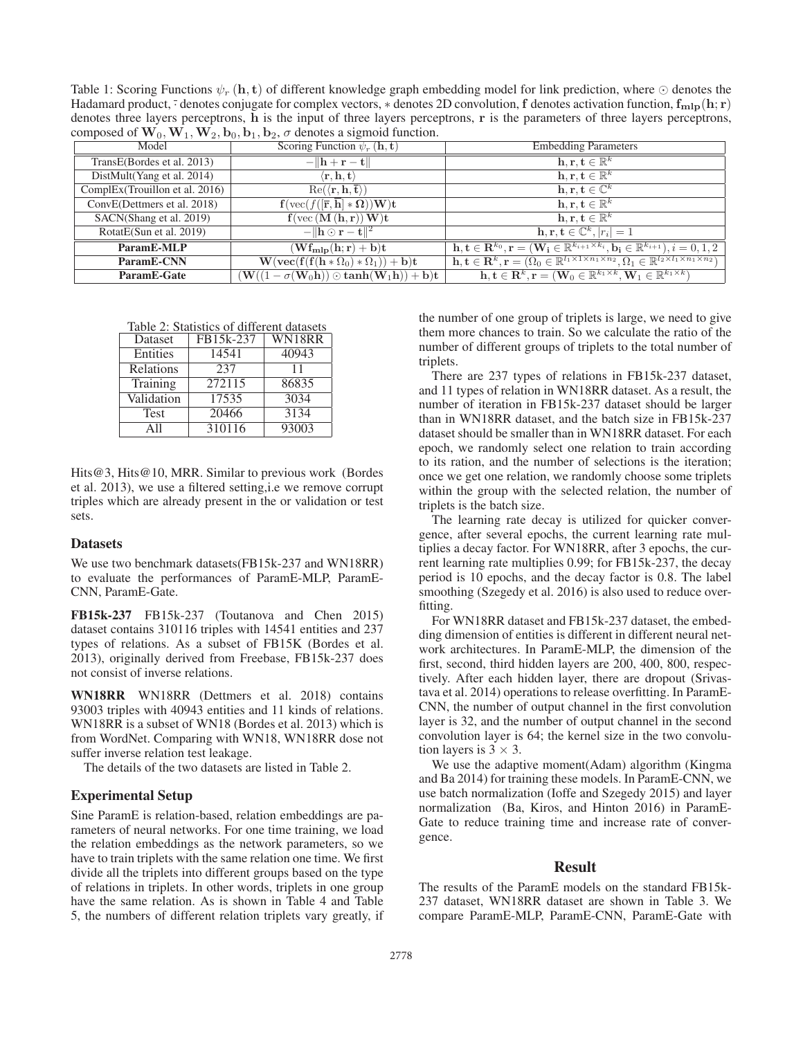Table 1: Scoring Functions  $\psi_r(\mathbf{h}, \mathbf{t})$  of different knowledge graph embedding model for link prediction, where  $\odot$  denotes the Hadamard product,  $\cdot$  denotes conjugate for complex vectors,  $*$  denotes 2D convolution,  $f$  denotes activation function,  $f_{\text{mlp}}(h; r)$ denotes three layers perceptrons, **h** is the input of three layers perceptrons, **r** is the parameters of three layers perceptrons, composed of  $W_0$ ,  $W_1$ ,  $W_2$ ,  $b_0$ ,  $b_1$ ,  $b_2$ ,  $\sigma$  denotes a sigmoid function.

| Model                          | Scoring Function $\psi_r(\mathbf{h}, \mathbf{t})$                                                                     | <b>Embedding Parameters</b>                                                                                                                                                            |
|--------------------------------|-----------------------------------------------------------------------------------------------------------------------|----------------------------------------------------------------------------------------------------------------------------------------------------------------------------------------|
| TransE(Bordes et al. 2013)     | $-\Vert h+r-t\Vert$                                                                                                   | $\mathbf{h}, \mathbf{r}, \mathbf{t} \in \mathbb{R}^k$                                                                                                                                  |
| DistMult(Yang et al. 2014)     | $\langle \mathbf{r}, \mathbf{h}, \mathbf{t} \rangle$                                                                  | $\mathbf{h}, \mathbf{r}, \mathbf{t} \in \mathbb{R}^k$                                                                                                                                  |
| ComplEx(Trouillon et al. 2016) | $\text{Re}(\langle \mathbf{r}, \mathbf{h}, \overline{\mathbf{t}} \rangle)$                                            | $\mathbf{h}, \mathbf{r}, \mathbf{t} \in \mathbb{C}^k$                                                                                                                                  |
| ConvE(Dettmers et al. 2018)    | $\mathbf{f}(\text{vec}(f([\overline{\mathbf{r}},\overline{\mathbf{h}}]*\Omega))\mathbf{W})\mathbf{t}$                 | $\mathbf{h}, \mathbf{r}, \mathbf{t} \in \mathbb{R}^k$                                                                                                                                  |
| SACN(Shang et al. 2019)        | $f(\text{vec}(\mathbf{M}(\mathbf{h}, \mathbf{r}))\mathbf{W})\mathbf{t}$                                               | $\mathbf{h}, \mathbf{r}, \mathbf{t} \in \mathbb{R}^k$                                                                                                                                  |
| RotatE(Sun et al. 2019)        | $-\ \mathbf{h}\odot\mathbf{r}-\mathbf{t}\ ^2$                                                                         | $\mathbf{h}, \mathbf{r}, \mathbf{t} \in \mathbb{C}^k,  r_i =1$                                                                                                                         |
| ParamE-MLP                     | $(\mathbf{Wf_{mlp}}(\mathbf{h}; \mathbf{r}) + \mathbf{b})\mathbf{t}$                                                  | $\mathbf{h}, \mathbf{t} \in \mathbb{R}^{k_0}, \mathbf{r} = (\mathbf{W_i} \in \mathbb{R}^{k_{i+1} \times k_i}, \mathbf{b_i} \in \mathbb{R}^{k_{i+1}}), i = 0, 1, 2$                     |
| ParamE-CNN                     | $\mathbf{W}(\mathbf{vec}(f(f(h * \Omega_0) * \Omega_1)) + \mathbf{b})\mathbf{t}$                                      | $\mathbf{h}, \mathbf{t} \in \mathbb{R}^k, \mathbf{r} = (\Omega_0 \in \mathbb{R}^{l_1 \times 1 \times n_1 \times n_2}, \Omega_1 \in \mathbb{R}^{l_2 \times l_1 \times n_1 \times n_2})$ |
| ParamE-Gate                    | $(\mathbf{W}((1-\sigma(\mathbf{W}_0\mathbf{h})) \odot \textbf{tanh}(\mathbf{W}_1\mathbf{h})) + \mathbf{b})\mathbf{t}$ | $\mathbf{h}, \mathbf{t} \in \mathbf{R}^k, \mathbf{r} = (\mathbf{W}_0 \in \mathbb{R}^{k_1 \times k}, \mathbf{W}_1 \in \mathbb{R}^{k_1 \times k})$                                       |

Table 2: Statistics of different datasets

| Dataset     | FB15k-237       | WN18RR |
|-------------|-----------------|--------|
| Entities    | 14541           | 40943  |
| Relations   | 237             | 11     |
| Training    | $\sqrt{272}115$ | 86835  |
| Validation  | 17535           | 3034   |
| Test        | 20466           | 3134   |
| $\Delta$ 11 | 310116          | 93003  |

Hits@3, Hits@10, MRR. Similar to previous work (Bordes et al. 2013), we use a filtered setting,i.e we remove corrupt triples which are already present in the or validation or test sets.

#### **Datasets**

We use two benchmark datasets(FB15k-237 and WN18RR) to evaluate the performances of ParamE-MLP, ParamE-CNN, ParamE-Gate.

FB15k-237 FB15k-237 (Toutanova and Chen 2015) dataset contains 310116 triples with 14541 entities and 237 types of relations. As a subset of FB15K (Bordes et al. 2013), originally derived from Freebase, FB15k-237 does not consist of inverse relations.

WN18RR WN18RR (Dettmers et al. 2018) contains 93003 triples with 40943 entities and 11 kinds of relations. WN18RR is a subset of WN18 (Bordes et al. 2013) which is from WordNet. Comparing with WN18, WN18RR dose not suffer inverse relation test leakage.

The details of the two datasets are listed in Table 2.

#### Experimental Setup

Sine ParamE is relation-based, relation embeddings are parameters of neural networks. For one time training, we load the relation embeddings as the network parameters, so we have to train triplets with the same relation one time. We first divide all the triplets into different groups based on the type of relations in triplets. In other words, triplets in one group have the same relation. As is shown in Table 4 and Table 5, the numbers of different relation triplets vary greatly, if

the number of one group of triplets is large, we need to give them more chances to train. So we calculate the ratio of the number of different groups of triplets to the total number of triplets.

There are 237 types of relations in FB15k-237 dataset, and 11 types of relation in WN18RR dataset. As a result, the number of iteration in FB15k-237 dataset should be larger than in WN18RR dataset, and the batch size in FB15k-237 dataset should be smaller than in WN18RR dataset. For each epoch, we randomly select one relation to train according to its ration, and the number of selections is the iteration; once we get one relation, we randomly choose some triplets within the group with the selected relation, the number of triplets is the batch size.

The learning rate decay is utilized for quicker convergence, after several epochs, the current learning rate multiplies a decay factor. For WN18RR, after 3 epochs, the current learning rate multiplies 0.99; for FB15k-237, the decay period is 10 epochs, and the decay factor is 0.8. The label smoothing (Szegedy et al. 2016) is also used to reduce overfitting.

For WN18RR dataset and FB15k-237 dataset, the embedding dimension of entities is different in different neural network architectures. In ParamE-MLP, the dimension of the first, second, third hidden layers are 200, 400, 800, respectively. After each hidden layer, there are dropout (Srivastava et al. 2014) operations to release overfitting. In ParamE-CNN, the number of output channel in the first convolution layer is 32, and the number of output channel in the second convolution layer is 64; the kernel size in the two convolution layers is  $3 \times 3$ .

We use the adaptive moment(Adam) algorithm (Kingma and Ba 2014) for training these models. In ParamE-CNN, we use batch normalization (Ioffe and Szegedy 2015) and layer normalization (Ba, Kiros, and Hinton 2016) in ParamE-Gate to reduce training time and increase rate of convergence.

# Result

The results of the ParamE models on the standard FB15k-237 dataset, WN18RR dataset are shown in Table 3. We compare ParamE-MLP, ParamE-CNN, ParamE-Gate with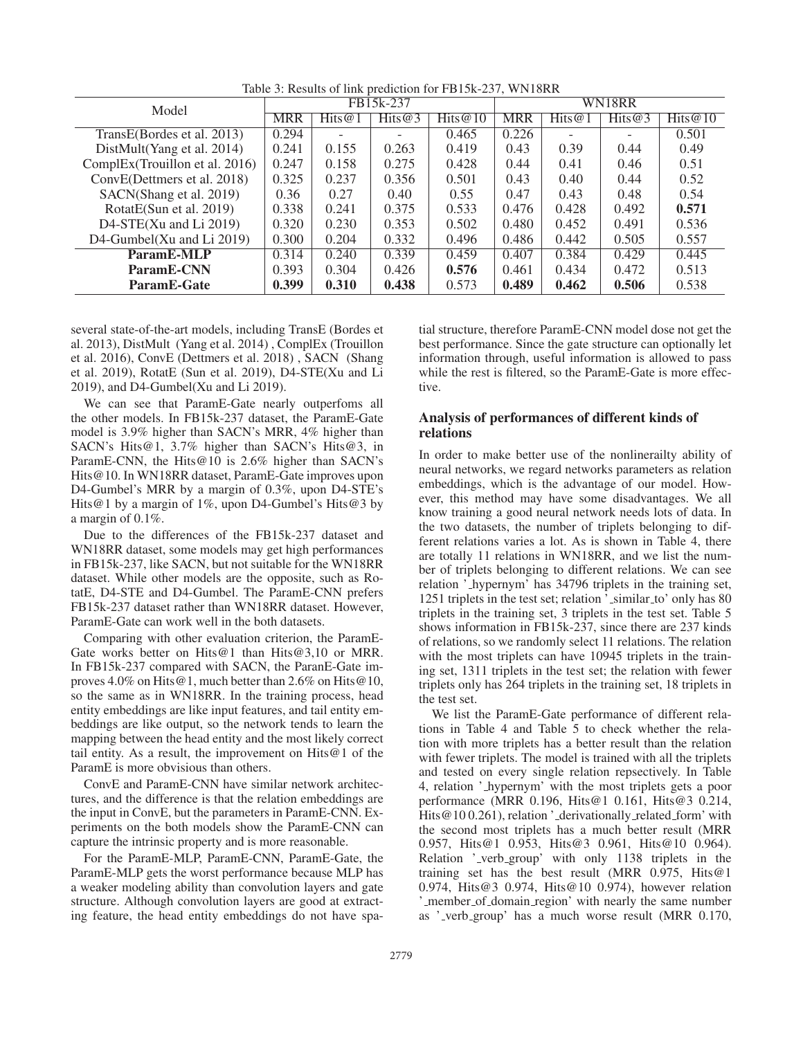| Model                          | FB15k-237  |           |           | WN18RR     |            |        |        |            |
|--------------------------------|------------|-----------|-----------|------------|------------|--------|--------|------------|
|                                | <b>MRR</b> | Hits $@1$ | Hits $@3$ | Hits $@10$ | <b>MRR</b> | Hits@1 | Hits@3 | Hits $@10$ |
| TransE(Bordes et al. 2013)     | 0.294      |           |           | 0.465      | 0.226      |        |        | 0.501      |
| DistMult(Yang et al. 2014)     | 0.241      | 0.155     | 0.263     | 0.419      | 0.43       | 0.39   | 0.44   | 0.49       |
| ComplEx(Trouillon et al. 2016) | 0.247      | 0.158     | 0.275     | 0.428      | 0.44       | 0.41   | 0.46   | 0.51       |
| ConvE(Dettmers et al. 2018)    | 0.325      | 0.237     | 0.356     | 0.501      | 0.43       | 0.40   | 0.44   | 0.52       |
| SACN(Shang et al. 2019)        | 0.36       | 0.27      | 0.40      | 0.55       | 0.47       | 0.43   | 0.48   | 0.54       |
| RotatE(Sun et al. 2019)        | 0.338      | 0.241     | 0.375     | 0.533      | 0.476      | 0.428  | 0.492  | 0.571      |
| D4-STE(Xu and Li $2019$ )      | 0.320      | 0.230     | 0.353     | 0.502      | 0.480      | 0.452  | 0.491  | 0.536      |
| D4-Gumbel(Xu and Li $2019$ )   | 0.300      | 0.204     | 0.332     | 0.496      | 0.486      | 0.442  | 0.505  | 0.557      |
| ParamE-MLP                     | 0.314      | 0.240     | 0.339     | 0.459      | 0.407      | 0.384  | 0.429  | 0.445      |
| ParamE-CNN                     | 0.393      | 0.304     | 0.426     | 0.576      | 0.461      | 0.434  | 0.472  | 0.513      |
| ParamE-Gate                    | 0.399      | 0.310     | 0.438     | 0.573      | 0.489      | 0.462  | 0.506  | 0.538      |

Table 3: Results of link prediction for FB15k-237, WN18RR

several state-of-the-art models, including TransE (Bordes et al. 2013), DistMult (Yang et al. 2014) , ComplEx (Trouillon et al. 2016), ConvE (Dettmers et al. 2018) , SACN (Shang et al. 2019), RotatE (Sun et al. 2019), D4-STE(Xu and Li 2019), and D4-Gumbel(Xu and Li 2019).

We can see that ParamE-Gate nearly outperfoms all the other models. In FB15k-237 dataset, the ParamE-Gate model is 3.9% higher than SACN's MRR, 4% higher than SACN's Hits@1, 3.7% higher than SACN's Hits@3, in ParamE-CNN, the Hits@10 is 2.6% higher than SACN's Hits@10. In WN18RR dataset, ParamE-Gate improves upon D4-Gumbel's MRR by a margin of 0.3%, upon D4-STE's Hits@1 by a margin of 1%, upon D4-Gumbel's Hits@3 by a margin of 0.1%.

Due to the differences of the FB15k-237 dataset and WN18RR dataset, some models may get high performances in FB15k-237, like SACN, but not suitable for the WN18RR dataset. While other models are the opposite, such as RotatE, D4-STE and D4-Gumbel. The ParamE-CNN prefers FB15k-237 dataset rather than WN18RR dataset. However, ParamE-Gate can work well in the both datasets.

Comparing with other evaluation criterion, the ParamE-Gate works better on Hits@1 than Hits@3,10 or MRR. In FB15k-237 compared with SACN, the ParanE-Gate improves 4.0% on Hits@1, much better than 2.6% on Hits@10, so the same as in WN18RR. In the training process, head entity embeddings are like input features, and tail entity embeddings are like output, so the network tends to learn the mapping between the head entity and the most likely correct tail entity. As a result, the improvement on Hits@1 of the ParamE is more obvisious than others.

ConvE and ParamE-CNN have similar network architectures, and the difference is that the relation embeddings are the input in ConvE, but the parameters in ParamE-CNN. Experiments on the both models show the ParamE-CNN can capture the intrinsic property and is more reasonable.

For the ParamE-MLP, ParamE-CNN, ParamE-Gate, the ParamE-MLP gets the worst performance because MLP has a weaker modeling ability than convolution layers and gate structure. Although convolution layers are good at extracting feature, the head entity embeddings do not have spa-

tial structure, therefore ParamE-CNN model dose not get the best performance. Since the gate structure can optionally let information through, useful information is allowed to pass while the rest is filtered, so the ParamE-Gate is more effective.

# Analysis of performances of different kinds of relations

In order to make better use of the nonlinerailty ability of neural networks, we regard networks parameters as relation embeddings, which is the advantage of our model. However, this method may have some disadvantages. We all know training a good neural network needs lots of data. In the two datasets, the number of triplets belonging to different relations varies a lot. As is shown in Table 4, there are totally 11 relations in WN18RR, and we list the number of triplets belonging to different relations. We can see relation ' hypernym' has 34796 triplets in the training set, 1251 triplets in the test set; relation ' similar to' only has 80 triplets in the training set, 3 triplets in the test set. Table 5 shows information in FB15k-237, since there are 237 kinds of relations, so we randomly select 11 relations. The relation with the most triplets can have 10945 triplets in the training set, 1311 triplets in the test set; the relation with fewer triplets only has 264 triplets in the training set, 18 triplets in the test set.

We list the ParamE-Gate performance of different relations in Table 4 and Table 5 to check whether the relation with more triplets has a better result than the relation with fewer triplets. The model is trained with all the triplets and tested on every single relation repsectively. In Table 4, relation ' hypernym' with the most triplets gets a poor performance (MRR 0.196, Hits@1 0.161, Hits@3 0.214, Hits@10 0.261), relation '\_derivationally\_related\_form' with the second most triplets has a much better result (MRR 0.957, Hits@1 0.953, Hits@3 0.961, Hits@10 0.964). Relation '\_verb\_group' with only 1138 triplets in the training set has the best result (MRR 0.975, Hits@1 0.974, Hits@3 0.974, Hits@10 0.974), however relation ' member of domain region' with nearly the same number as ' verb group' has a much worse result (MRR 0.170,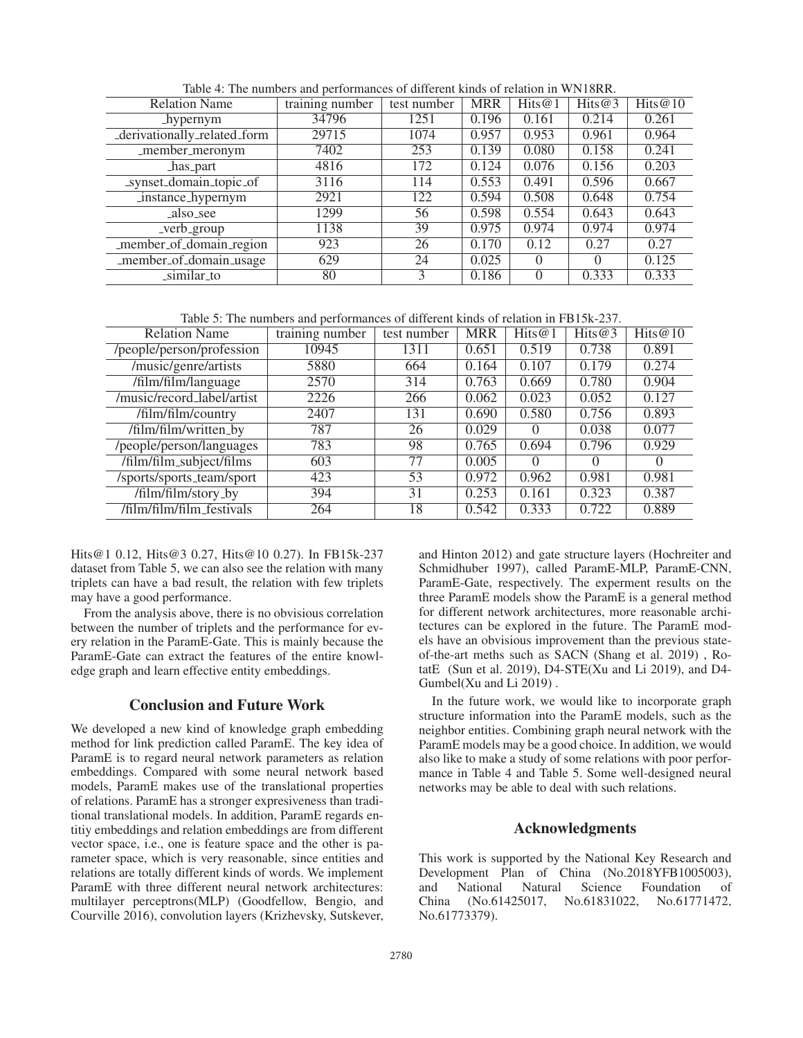| <b>Relation Name</b>                | training number | test number | <b>MRR</b> | Hits $@1$ | Hits@3   | Hits $@10$ |
|-------------------------------------|-----------------|-------------|------------|-----------|----------|------------|
| hypernym                            | 34796           | 1251        | 0.196      | 0.161     | 0.214    | 0.261      |
| _derivationally_related_form        | 29715           | 1074        | 0.957      | 0.953     | 0.961    | 0.964      |
| $\overline{\text{m}}$ ember_meronym | 7402            | 253         | 0.139      | 0.080     | 0.158    | 0.241      |
| has part                            | 4816            | 172         | 0.124      | 0.076     | 0.156    | 0.203      |
| _synset_domain_topic_of             | 3116            | 114         | 0.553      | 0.491     | 0.596    | 0.667      |
| instance_hypernym                   | 2921            | 122         | 0.594      | 0.508     | 0.648    | 0.754      |
| also_see                            | 1299            | 56          | 0.598      | 0.554     | 0.643    | 0.643      |
| _verb_group                         | 1138            | 39          | 0.975      | 0.974     | 0.974    | 0.974      |
| _member_of_domain_region            | 923             | 26          | 0.170      | 0.12      | 0.27     | 0.27       |
| _member_of_domain_usage             | 629             | 24          | 0.025      | $\Omega$  | $\Omega$ | 0.125      |
| _similar_to                         | 80              | 3           | 0.186      |           | 0.333    | 0.333      |

Table 4: The numbers and performances of different kinds of relation in WN18RR.

Table 5: The numbers and performances of different kinds of relation in FB15k-237.

| <b>Relation Name</b>       | training number | test number | <b>MRR</b> | Hits $@1$ | Hits@3 | Hits@10          |
|----------------------------|-----------------|-------------|------------|-----------|--------|------------------|
| /people/person/profession  | 10945           | 1311        | 0.651      | 0.519     | 0.738  | 0.891            |
| /music/genre/artists       | 5880            | 664         | 0.164      | 0.107     | 0.179  | 0.274            |
| /film/film/language        | 2570            | 314         | 0.763      | 0.669     | 0.780  | 0.904            |
| /music/record_label/artist | 2226            | 266         | 0.062      | 0.023     | 0.052  | 0.127            |
| /film/film/country         | 2407            | 131         | 0.690      | 0.580     | 0.756  | 0.893            |
| /film/film/written_by      | 787             | 26          | 0.029      | $\Omega$  | 0.038  | 0.077            |
| /people/person/languages   | 783             | 98          | 0.765      | 0.694     | 0.796  | 0.929            |
| /film/film_subject/films   | 603             | 77          | 0.005      | $\Omega$  | 0      | $\left( \right)$ |
| /sports/sports_team/sport  | 423             | 53          | 0.972      | 0.962     | 0.981  | 0.981            |
| /film/film/story_by        | 394             | 31          | 0.253      | 0.161     | 0.323  | 0.387            |
| /film/film/film_festivals  | 264             | 18          | 0.542      | 0.333     | 0.722  | 0.889            |

Hits@1 0.12, Hits@3 0.27, Hits@10 0.27). In FB15k-237 dataset from Table 5, we can also see the relation with many triplets can have a bad result, the relation with few triplets may have a good performance.

From the analysis above, there is no obvisious correlation between the number of triplets and the performance for every relation in the ParamE-Gate. This is mainly because the ParamE-Gate can extract the features of the entire knowledge graph and learn effective entity embeddings.

## Conclusion and Future Work

We developed a new kind of knowledge graph embedding method for link prediction called ParamE. The key idea of ParamE is to regard neural network parameters as relation embeddings. Compared with some neural network based models, ParamE makes use of the translational properties of relations. ParamE has a stronger expresiveness than traditional translational models. In addition, ParamE regards entitiy embeddings and relation embeddings are from different vector space, i.e., one is feature space and the other is parameter space, which is very reasonable, since entities and relations are totally different kinds of words. We implement ParamE with three different neural network architectures: multilayer perceptrons(MLP) (Goodfellow, Bengio, and Courville 2016), convolution layers (Krizhevsky, Sutskever,

and Hinton 2012) and gate structure layers (Hochreiter and Schmidhuber 1997), called ParamE-MLP, ParamE-CNN, ParamE-Gate, respectively. The experment results on the three ParamE models show the ParamE is a general method for different network architectures, more reasonable architectures can be explored in the future. The ParamE models have an obvisious improvement than the previous stateof-the-art meths such as SACN (Shang et al. 2019) , RotatE (Sun et al. 2019), D4-STE(Xu and Li 2019), and D4- Gumbel(Xu and Li 2019) .

In the future work, we would like to incorporate graph structure information into the ParamE models, such as the neighbor entities. Combining graph neural network with the ParamE models may be a good choice. In addition, we would also like to make a study of some relations with poor performance in Table 4 and Table 5. Some well-designed neural networks may be able to deal with such relations.

## Acknowledgments

This work is supported by the National Key Research and Development Plan of China (No.2018YFB1005003),<br>and National Natural Science Foundation of and National Natural Science Foundation of China (No.61425017, No.61831022, No.61771472, No.61773379).